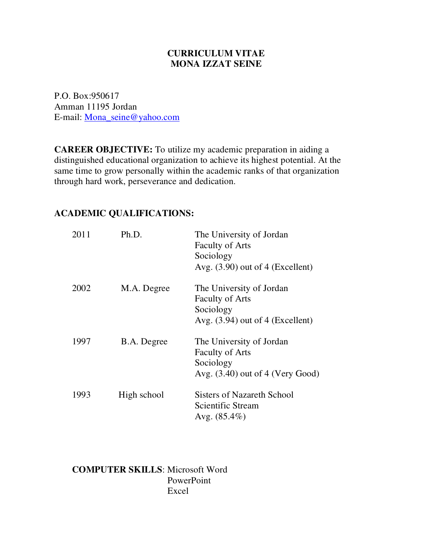## **CURRICULUM VITAE MONA IZZAT SEINE**

P.O. Box:950617 Amman 11195 Jordan E-mail: Mona\_seine@yahoo.com

**CAREER OBJECTIVE:** To utilize my academic preparation in aiding a distinguished educational organization to achieve its highest potential. At the same time to grow personally within the academic ranks of that organization through hard work, perseverance and dedication.

| 2011 | Ph.D.       | The University of Jordan<br><b>Faculty of Arts</b><br>Sociology<br>Avg. $(3.90)$ out of 4 (Excellent) |
|------|-------------|-------------------------------------------------------------------------------------------------------|
| 2002 | M.A. Degree | The University of Jordan<br><b>Faculty of Arts</b><br>Sociology<br>Avg. $(3.94)$ out of 4 (Excellent) |
| 1997 | B.A. Degree | The University of Jordan<br><b>Faculty of Arts</b><br>Sociology<br>Avg. $(3.40)$ out of 4 (Very Good) |
| 1993 | High school | <b>Sisters of Nazareth School</b><br>Scientific Stream<br>Avg. $(85.4\%)$                             |

## **ACADEMIC QUALIFICATIONS:**

**COMPUTER SKILLS**: Microsoft Word PowerPoint Excel